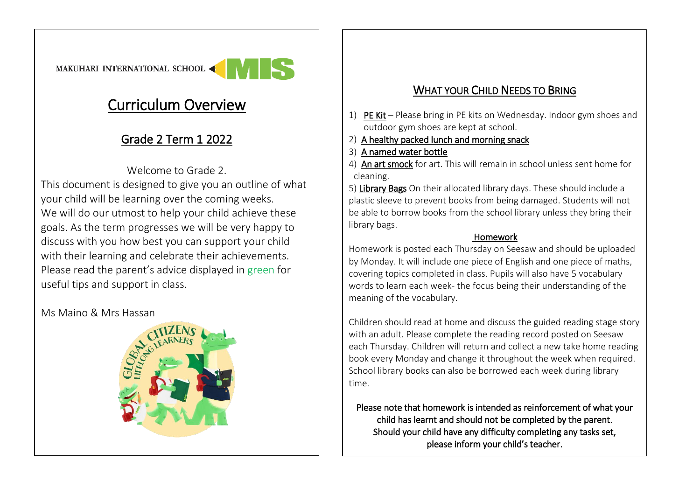

## Curriculum Overview

## Grade 2 Term 1 2022

Welcome to Grade 2. This document is designed to give you an outline of what your child will be learning over the coming weeks. We will do our utmost to help your child achieve these goals. As the term progresses we will be very happy to discuss with you how best you can support your child with their learning and celebrate their achievements. Please read the parent's advice displayed in green for useful tips and support in class.

Ms Maino & Mrs Hassan



## WHAT YOUR CHILD NEEDS TO BRING

- 1) PE Kit Please bring in PE kits on Wednesday. Indoor gym shoes and outdoor gym shoes are kept at school.
- 2) A healthy packed lunch and morning snack
- 3) A named water bottle

 $\overline{a}$ 

4) An art smock for art. This will remain in school unless sent home for cleaning.

5) Library Bags On their allocated library days. These should include a plastic sleeve to prevent books from being damaged. Students will not be able to borrow books from the school library unless they bring their library bags.

## Homework

Homework is posted each Thursday on Seesaw and should be uploaded by Monday. It will include one piece of English and one piece of maths, covering topics completed in class. Pupils will also have 5 vocabulary words to learn each week- the focus being their understanding of the meaning of the vocabulary.

Children should read at home and discuss the guided reading stage story with an adult. Please complete the reading record posted on Seesaw each Thursday. Children will return and collect a new take home reading book every Monday and change it throughout the week when required. School library books can also be borrowed each week during library time.

Please note that homework is intended as reinforcement of what your child has learnt and should not be completed by the parent. Should your child have any difficulty completing any tasks set, please inform your child's teacher.